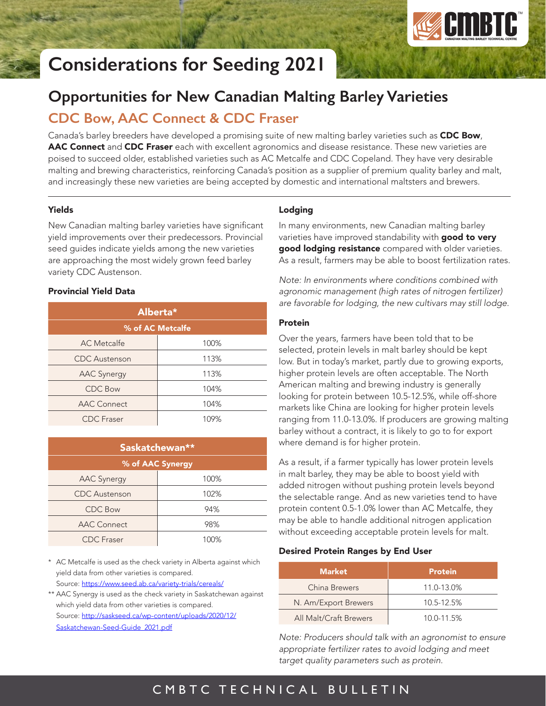

# **Considerations for Seeding 2021**

# **Opportunities for New Canadian Malting Barley Varieties**

# **CDC Bow, AAC Connect & CDC Fraser**

Canada's barley breeders have developed a promising suite of new malting barley varieties such as **CDC Bow**, AAC Connect and CDC Fraser each with excellent agronomics and disease resistance. These new varieties are poised to succeed older, established varieties such as AC Metcalfe and CDC Copeland. They have very desirable malting and brewing characteristics, reinforcing Canada's position as a supplier of premium quality barley and malt, and increasingly these new varieties are being accepted by domestic and international maltsters and brewers.

### Yields

New Canadian malting barley varieties have significant yield improvements over their predecessors. Provincial seed guides indicate yields among the new varieties are approaching the most widely grown feed barley variety CDC Austenson.

### Provincial Yield Data

| Alberta*             |      |  |
|----------------------|------|--|
| % of AC Metcalfe     |      |  |
| <b>AC</b> Metcalfe   | 100% |  |
| <b>CDC</b> Austenson | 113% |  |
| <b>AAC Synergy</b>   | 113% |  |
| <b>CDC Bow</b>       | 104% |  |
| <b>AAC Connect</b>   | 104% |  |
| <b>CDC</b> Fraser    | 109% |  |

| Saskatchewan**       |      |  |
|----------------------|------|--|
| % of AAC Synergy     |      |  |
| <b>AAC Synergy</b>   | 100% |  |
| <b>CDC</b> Austenson | 102% |  |
| <b>CDC Bow</b>       | 94%  |  |
| <b>AAC Connect</b>   | 98%  |  |
| <b>CDC</b> Fraser    | 100% |  |

\* AC Metcalfe is used as the check variety in Alberta against which yield data from other varieties is compared. Source: <https://www.seed.ab.ca/variety-trials/cereals/>

\*\* AAC Synergy is used as the check variety in Saskatchewan against which yield data from other varieties is compared. Source: [http://saskseed.ca/wp-content/uploads/2020/12/](http://saskseed.ca/wp-content/uploads/2020/12/Saskatchewan-Seed-Guide_2021.pdf) [Saskatchewan-Seed-Guide\\_2021.pdf](http://saskseed.ca/wp-content/uploads/2020/12/Saskatchewan-Seed-Guide_2021.pdf)

## Lodging

In many environments, new Canadian malting barley varieties have improved standability with good to very good lodging resistance compared with older varieties. As a result, farmers may be able to boost fertilization rates.

*Note: In environments where conditions combined with agronomic management (high rates of nitrogen fertilizer) are favorable for lodging, the new cultivars may still lodge.*

#### Protein

Over the years, farmers have been told that to be selected, protein levels in malt barley should be kept low. But in today's market, partly due to growing exports, higher protein levels are often acceptable. The North American malting and brewing industry is generally looking for protein between 10.5-12.5%, while off-shore markets like China are looking for higher protein levels ranging from 11.0-13.0%. If producers are growing malting barley without a contract, it is likely to go to for export where demand is for higher protein.

As a result, if a farmer typically has lower protein levels in malt barley, they may be able to boost yield with added nitrogen without pushing protein levels beyond the selectable range. And as new varieties tend to have protein content 0.5-1.0% lower than AC Metcalfe, they may be able to handle additional nitrogen application without exceeding acceptable protein levels for malt.

### Desired Protein Ranges by End User

| <b>Market</b>          | <b>Protein</b> |
|------------------------|----------------|
| China Brewers          | 11.0-13.0%     |
| N. Am/Export Brewers   | 10.5-12.5%     |
| All Malt/Craft Brewers | 10.0-11.5%     |

*Note: Producers should talk with an agronomist to ensure appropriate fertilizer rates to avoid lodging and meet target quality parameters such as protein.*

# CMBTC TECHNICAL BULLETIN